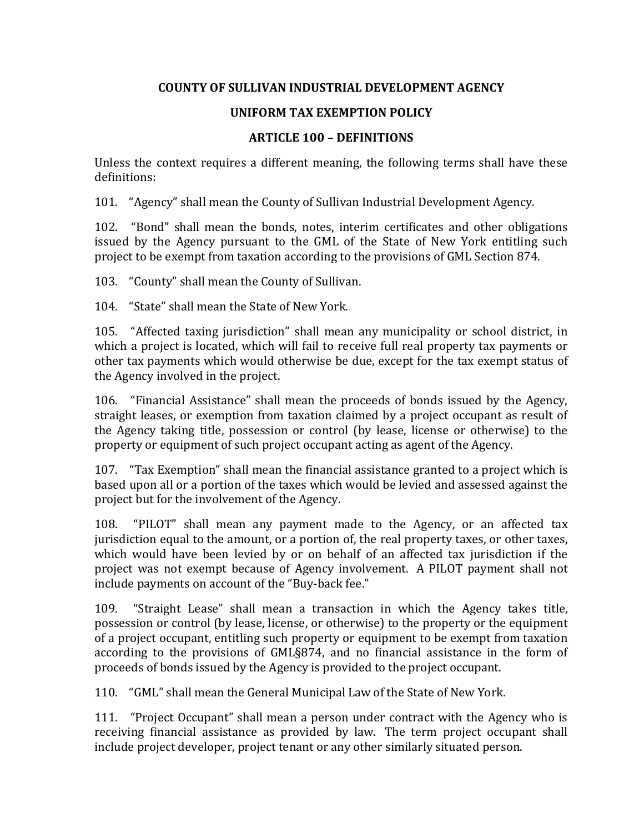## **COUNTY OF SULLIVAN INDUSTRIAL DEVELOPMENT AGENCY**

## **UNIFORM TAX EXEMPTION POLICY**

## **ARTICLE 100 – DEFINITIONS**

Unless the context requires a different meaning, the following terms shall have these definitions:

101. "Agency" shall mean the County of Sullivan Industrial Development Agency.

102. "Bond" shall mean the bonds, notes, interim certificates and other obligations issued by the Agency pursuant to the GML of the State of New York entitling such project to be exempt from taxation according to the provisions of GML Section 874.

103. "County" shall mean the County of Sullivan.

104. "State" shall mean the State of New York.

105. "Affected taxing jurisdiction" shall mean any municipality or school district, in which a project is located, which will fail to receive full real property tax payments or other tax payments which would otherwise be due, except for the tax exempt status of the Agency involved in the project.

106. "Financial Assistance" shall mean the proceeds of bonds issued by the Agency, straight leases, or exemption from taxation claimed by a project occupant as result of the Agency taking title, possession or control (by lease, license or otherwise) to the property or equipment of such project occupant acting as agent of the Agency.

107. "Tax Exemption" shall mean the financial assistance granted to a project which is based upon all or a portion of the taxes which would be levied and assessed against the project but for the involvement of the Agency.

108. "PILOT" shall mean any payment made to the Agency, or an affected tax jurisdiction equal to the amount, or a portion of, the real property taxes, or other taxes, which would have been levied by or on behalf of an affected tax jurisdiction if the project was not exempt because of Agency involvement. A PILOT payment shall not include payments on account of the "Buy-back fee."

109. "Straight Lease" shall mean a transaction in which the Agency takes title, possession or control (by lease, license, or otherwise) to the property or the equipment of a project occupant, entitling such property or equipment to be exempt from taxation according to the provisions of GML§874, and no financial assistance in the form of proceeds of bonds issued by the Agency is provided to the project occupant.

110. "GML" shall mean the General Municipal Law of the State of New York.

111. "Project Occupant" shall mean a person under contract with the Agency who is receiving financial assistance as provided by law. The term project occupant shall include project developer, project tenant or any other similarly situated person.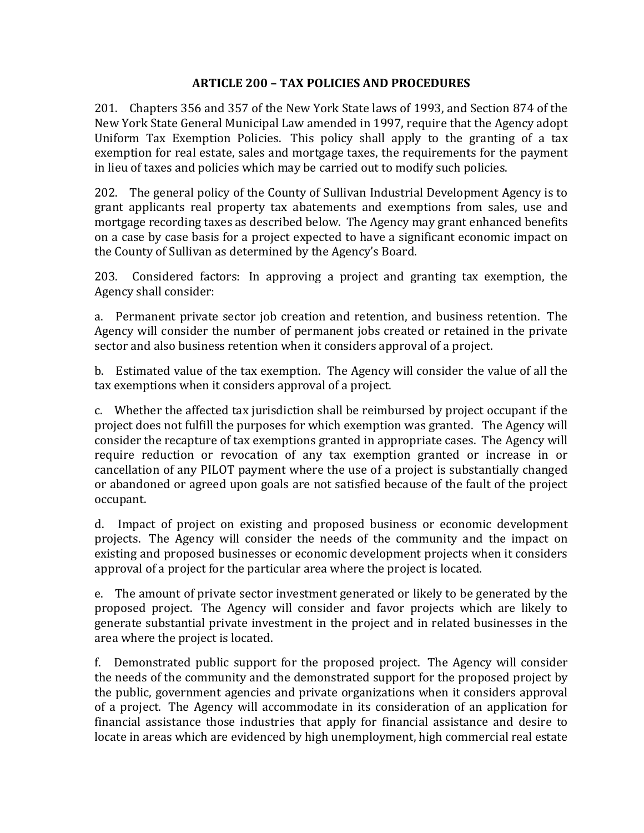## **ARTICLE 200 – TAX POLICIES AND PROCEDURES**

201. Chapters 356 and 357 of the New York State laws of 1993, and Section 874 of the New York State General Municipal Law amended in 1997, require that the Agency adopt Uniform Tax Exemption Policies. This policy shall apply to the granting of a tax exemption for real estate, sales and mortgage taxes, the requirements for the payment in lieu of taxes and policies which may be carried out to modify such policies.

202. The general policy of the County of Sullivan Industrial Development Agency is to grant applicants real property tax abatements and exemptions from sales, use and mortgage recording taxes as described below. The Agency may grant enhanced benefits on a case by case basis for a project expected to have a significant economic impact on the County of Sullivan as determined by the Agency's Board.

203. Considered factors: In approving a project and granting tax exemption, the Agency shall consider:

a. Permanent private sector job creation and retention, and business retention. The Agency will consider the number of permanent jobs created or retained in the private sector and also business retention when it considers approval of a project.

b. Estimated value of the tax exemption. The Agency will consider the value of all the tax exemptions when it considers approval of a project.

c. Whether the affected tax jurisdiction shall be reimbursed by project occupant if the project does not fulfill the purposes for which exemption was granted. The Agency will consider the recapture of tax exemptions granted in appropriate cases. The Agency will require reduction or revocation of any tax exemption granted or increase in or cancellation of any PILOT payment where the use of a project is substantially changed or abandoned or agreed upon goals are not satisfied because of the fault of the project occupant.

d. Impact of project on existing and proposed business or economic development projects. The Agency will consider the needs of the community and the impact on existing and proposed businesses or economic development projects when it considers approval of a project for the particular area where the project is located.

e. The amount of private sector investment generated or likely to be generated by the proposed project. The Agency will consider and favor projects which are likely to generate substantial private investment in the project and in related businesses in the area where the project is located.

f. Demonstrated public support for the proposed project. The Agency will consider the needs of the community and the demonstrated support for the proposed project by the public, government agencies and private organizations when it considers approval of a project. The Agency will accommodate in its consideration of an application for financial assistance those industries that apply for financial assistance and desire to locate in areas which are evidenced by high unemployment, high commercial real estate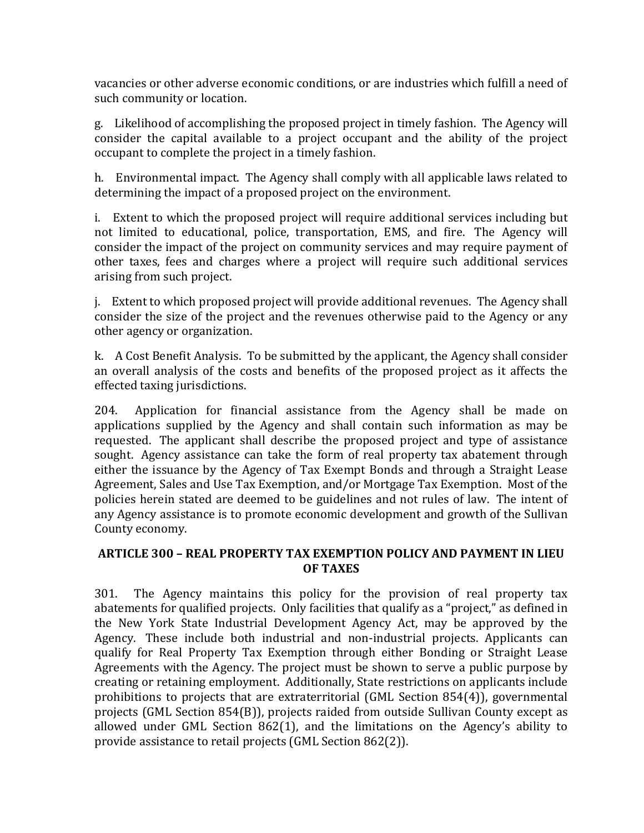vacancies or other adverse economic conditions, or are industries which fulfill a need of such community or location.

g. Likelihood of accomplishing the proposed project in timely fashion. The Agency will consider the capital available to a project occupant and the ability of the project occupant to complete the project in a timely fashion.

h. Environmental impact. The Agency shall comply with all applicable laws related to determining the impact of a proposed project on the environment.

i. Extent to which the proposed project will require additional services including but not limited to educational, police, transportation, EMS, and fire. The Agency will consider the impact of the project on community services and may require payment of other taxes, fees and charges where a project will require such additional services arising from such project.

j. Extent to which proposed project will provide additional revenues. The Agency shall consider the size of the project and the revenues otherwise paid to the Agency or any other agency or organization.

k. A Cost Benefit Analysis. To be submitted by the applicant, the Agency shall consider an overall analysis of the costs and benefits of the proposed project as it affects the effected taxing jurisdictions.

204. Application for financial assistance from the Agency shall be made on applications supplied by the Agency and shall contain such information as may be requested. The applicant shall describe the proposed project and type of assistance sought. Agency assistance can take the form of real property tax abatement through either the issuance by the Agency of Tax Exempt Bonds and through a Straight Lease Agreement, Sales and Use Tax Exemption, and/or Mortgage Tax Exemption. Most of the policies herein stated are deemed to be guidelines and not rules of law. The intent of any Agency assistance is to promote economic development and growth of the Sullivan County economy.

## **ARTICLE 300 – REAL PROPERTY TAX EXEMPTION POLICY AND PAYMENT IN LIEU OF TAXES**

301. The Agency maintains this policy for the provision of real property tax abatements for qualified projects. Only facilities that qualify as a "project," as defined in the New York State Industrial Development Agency Act, may be approved by the Agency. These include both industrial and non-industrial projects. Applicants can qualify for Real Property Tax Exemption through either Bonding or Straight Lease Agreements with the Agency. The project must be shown to serve a public purpose by creating or retaining employment. Additionally, State restrictions on applicants include prohibitions to projects that are extraterritorial (GML Section 854(4)), governmental projects (GML Section 854(B)), projects raided from outside Sullivan County except as allowed under GML Section 862(1), and the limitations on the Agency's ability to provide assistance to retail projects (GML Section 862(2)).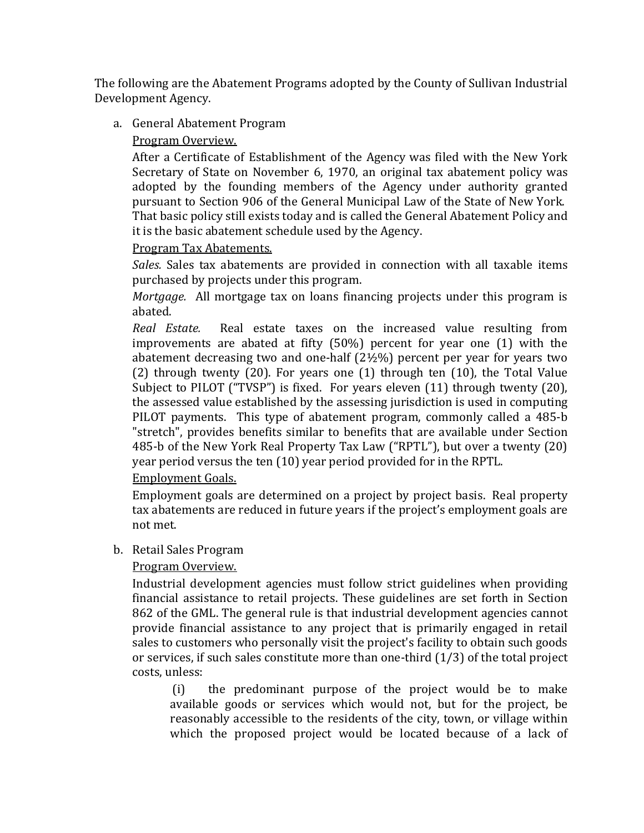The following are the Abatement Programs adopted by the County of Sullivan Industrial Development Agency.

a. General Abatement Program

## Program Overview.

After a Certificate of Establishment of the Agency was filed with the New York Secretary of State on November 6, 1970, an original tax abatement policy was adopted by the founding members of the Agency under authority granted pursuant to Section 906 of the General Municipal Law of the State of New York. That basic policy still exists today and is called the General Abatement Policy and it is the basic abatement schedule used by the Agency.

## Program Tax Abatements.

*Sales.* Sales tax abatements are provided in connection with all taxable items purchased by projects under this program.

*Mortgage.* All mortgage tax on loans financing projects under this program is abated.

*Real Estate.* Real estate taxes on the increased value resulting from improvements are abated at fifty (50%) percent for year one (1) with the abatement decreasing two and one-half (2½%) percent per year for years two (2) through twenty (20). For years one (1) through ten (10), the Total Value Subject to PILOT ("TVSP") is fixed. For years eleven (11) through twenty (20), the assessed value established by the assessing jurisdiction is used in computing PILOT payments. This type of abatement program, commonly called a 485-b "stretch", provides benefits similar to benefits that are available under Section 485-b of the New York Real Property Tax Law ("RPTL"), but over a twenty (20) year period versus the ten (10) year period provided for in the RPTL.

## Employment Goals.

Employment goals are determined on a project by project basis. Real property tax abatements are reduced in future years if the project's employment goals are not met.

## b. Retail Sales Program

# Program Overview.

Industrial development agencies must follow strict guidelines when providing financial assistance to retail projects. These guidelines are set forth in Section 862 of the GML. The general rule is that industrial development agencies cannot provide financial assistance to any project that is primarily engaged in retail sales to customers who personally visit the project's facility to obtain such goods or services, if such sales constitute more than one-third (1/3) of the total project costs, unless:

 (i) the predominant purpose of the project would be to make available goods or services which would not, but for the project, be reasonably accessible to the residents of the city, town, or village within which the proposed project would be located because of a lack of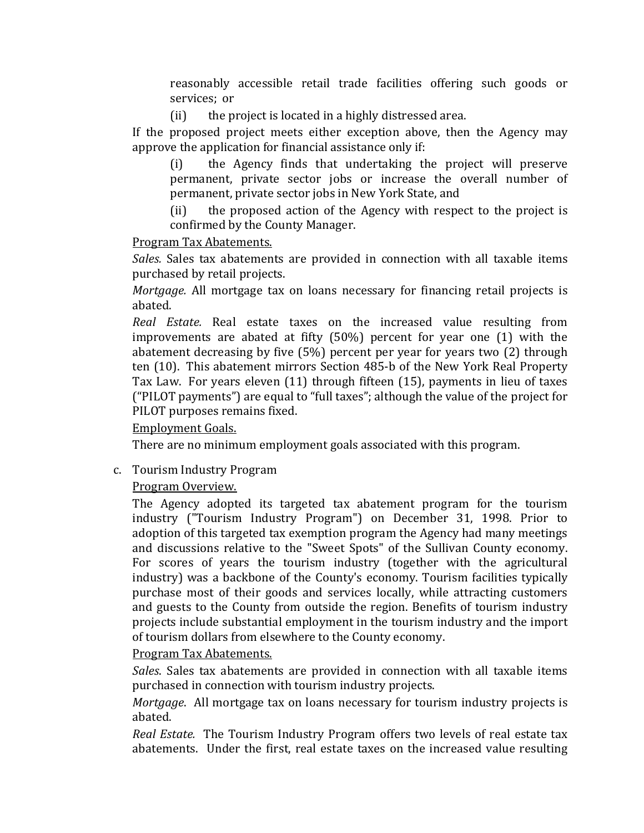reasonably accessible retail trade facilities offering such goods or services;  or

(ii) the project is located in a highly distressed area.

If the proposed project meets either exception above, then the Agency may approve the application for financial assistance only if:

(i) the Agency finds that undertaking the project will preserve permanent, private sector jobs or increase the overall number of permanent, private sector jobs in New York State, and

(ii) the proposed action of the Agency with respect to the project is confirmed by the County Manager.

## Program Tax Abatements.

*Sales.* Sales tax abatements are provided in connection with all taxable items purchased by retail projects.

*Mortgage.* All mortgage tax on loans necessary for financing retail projects is abated.

*Real Estate.* Real estate taxes on the increased value resulting from improvements are abated at fifty (50%) percent for year one (1) with the abatement decreasing by five (5%) percent per year for years two (2) through ten (10). This abatement mirrors Section 485-b of the New York Real Property Tax Law. For years eleven (11) through fifteen (15), payments in lieu of taxes ("PILOT payments") are equal to "full taxes"; although the value of the project for PILOT purposes remains fixed.

# Employment Goals.

There are no minimum employment goals associated with this program.

c. Tourism Industry Program

# Program Overview.

The Agency adopted its targeted tax abatement program for the tourism industry ("Tourism Industry Program") on December 31, 1998. Prior to adoption of this targeted tax exemption program the Agency had many meetings and discussions relative to the "Sweet Spots" of the Sullivan County economy. For scores of years the tourism industry (together with the agricultural industry) was a backbone of the County's economy. Tourism facilities typically purchase most of their goods and services locally, while attracting customers and guests to the County from outside the region. Benefits of tourism industry projects include substantial employment in the tourism industry and the import of tourism dollars from elsewhere to the County economy.

## Program Tax Abatements.

*Sales*. Sales tax abatements are provided in connection with all taxable items purchased in connection with tourism industry projects.

*Mortgage*. All mortgage tax on loans necessary for tourism industry projects is abated.

*Real Estate.* The Tourism Industry Program offers two levels of real estate tax abatements. Under the first, real estate taxes on the increased value resulting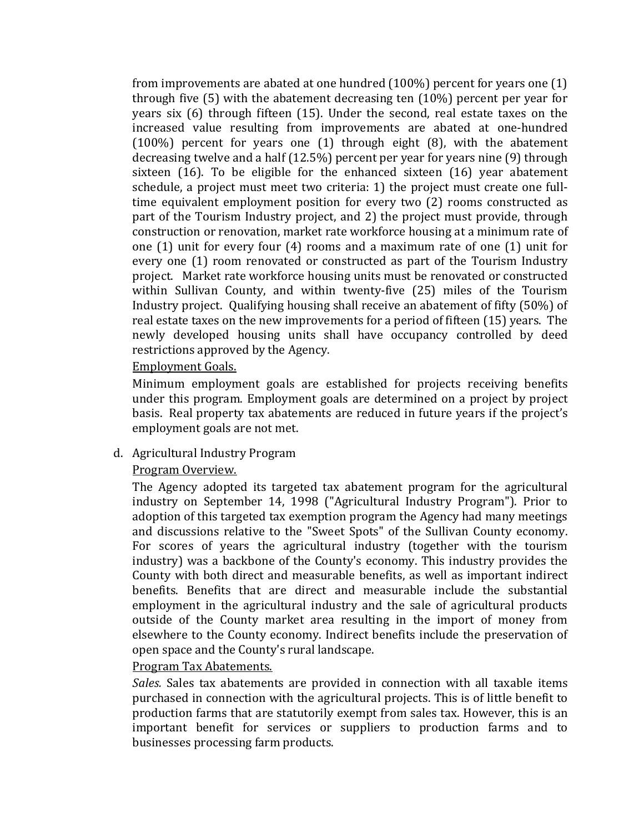from improvements are abated at one hundred (100%) percent for years one (1) through five (5) with the abatement decreasing ten (10%) percent per year for years six (6) through fifteen (15). Under the second, real estate taxes on the increased value resulting from improvements are abated at one-hundred (100%) percent for years one (1) through eight (8), with the abatement decreasing twelve and a half (12.5%) percent per year for years nine (9) through sixteen (16). To be eligible for the enhanced sixteen (16) year abatement schedule, a project must meet two criteria: 1) the project must create one fulltime equivalent employment position for every two (2) rooms constructed as part of the Tourism Industry project, and 2) the project must provide, through construction or renovation, market rate workforce housing at a minimum rate of one (1) unit for every four (4) rooms and a maximum rate of one (1) unit for every one (1) room renovated or constructed as part of the Tourism Industry project. Market rate workforce housing units must be renovated or constructed within Sullivan County, and within twenty-five (25) miles of the Tourism Industry project. Qualifying housing shall receive an abatement of fifty (50%) of real estate taxes on the new improvements for a period of fifteen (15) years. The newly developed housing units shall have occupancy controlled by deed restrictions approved by the Agency.

### Employment Goals.

Minimum employment goals are established for projects receiving benefits under this program. Employment goals are determined on a project by project basis. Real property tax abatements are reduced in future years if the project's employment goals are not met.

## d. Agricultural Industry Program

## Program Overview.

The Agency adopted its targeted tax abatement program for the agricultural industry on September 14, 1998 ("Agricultural Industry Program"). Prior to adoption of this targeted tax exemption program the Agency had many meetings and discussions relative to the "Sweet Spots" of the Sullivan County economy. For scores of years the agricultural industry (together with the tourism industry) was a backbone of the County's economy. This industry provides the County with both direct and measurable benefits, as well as important indirect benefits. Benefits that are direct and measurable include the substantial employment in the agricultural industry and the sale of agricultural products outside of the County market area resulting in the import of money from elsewhere to the County economy. Indirect benefits include the preservation of open space and the County's rural landscape.

#### Program Tax Abatements.

*Sales.* Sales tax abatements are provided in connection with all taxable items purchased in connection with the agricultural projects. This is of little benefit to production farms that are statutorily exempt from sales tax. However, this is an important benefit for services or suppliers to production farms and to businesses processing farm products.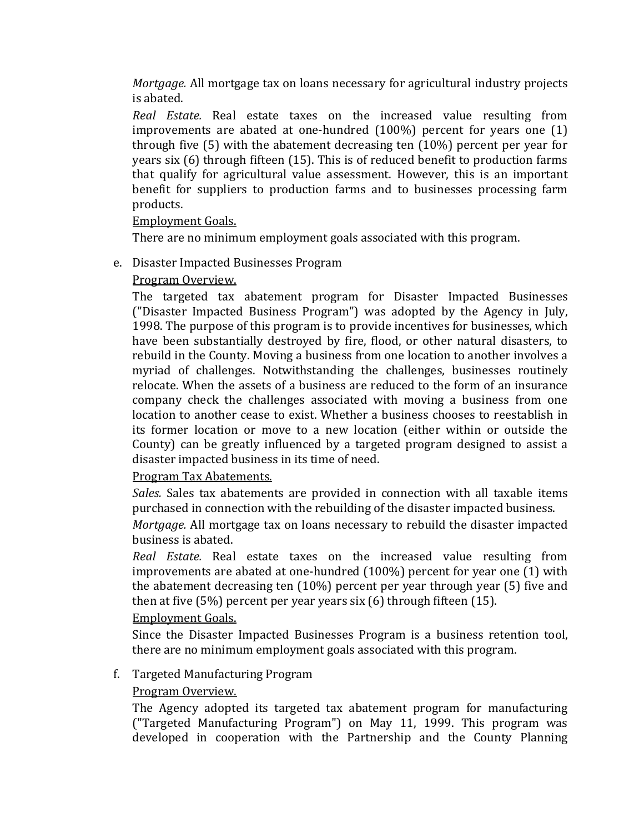*Mortgage.* All mortgage tax on loans necessary for agricultural industry projects is abated.

*Real Estate.* Real estate taxes on the increased value resulting from improvements are abated at one-hundred (100%) percent for years one (1) through five (5) with the abatement decreasing ten (10%) percent per year for years six (6) through fifteen (15). This is of reduced benefit to production farms that qualify for agricultural value assessment. However, this is an important benefit for suppliers to production farms and to businesses processing farm products.

Employment Goals.

There are no minimum employment goals associated with this program.

- e. Disaster Impacted Businesses Program
	- Program Overview.

The targeted tax abatement program for Disaster Impacted Businesses ("Disaster Impacted Business Program") was adopted by the Agency in July, 1998. The purpose of this program is to provide incentives for businesses, which have been substantially destroyed by fire, flood, or other natural disasters, to rebuild in the County. Moving a business from one location to another involves a myriad of challenges. Notwithstanding the challenges, businesses routinely relocate. When the assets of a business are reduced to the form of an insurance company check the challenges associated with moving a business from one location to another cease to exist. Whether a business chooses to reestablish in its former location or move to a new location (either within or outside the County) can be greatly influenced by a targeted program designed to assist a disaster impacted business in its time of need.

Program Tax Abatements.

*Sales.* Sales tax abatements are provided in connection with all taxable items purchased in connection with the rebuilding of the disaster impacted business.

*Mortgage.* All mortgage tax on loans necessary to rebuild the disaster impacted business is abated.

*Real Estate.* Real estate taxes on the increased value resulting from improvements are abated at one-hundred (100%) percent for year one (1) with the abatement decreasing ten (10%) percent per year through year (5) five and then at five (5%) percent per year years six (6) through fifteen (15).

Employment Goals.

Since the Disaster Impacted Businesses Program is a business retention tool, there are no minimum employment goals associated with this program.

# f. Targeted Manufacturing Program

# Program Overview.

The Agency adopted its targeted tax abatement program for manufacturing ("Targeted Manufacturing Program") on May 11, 1999. This program was developed in cooperation with the Partnership and the County Planning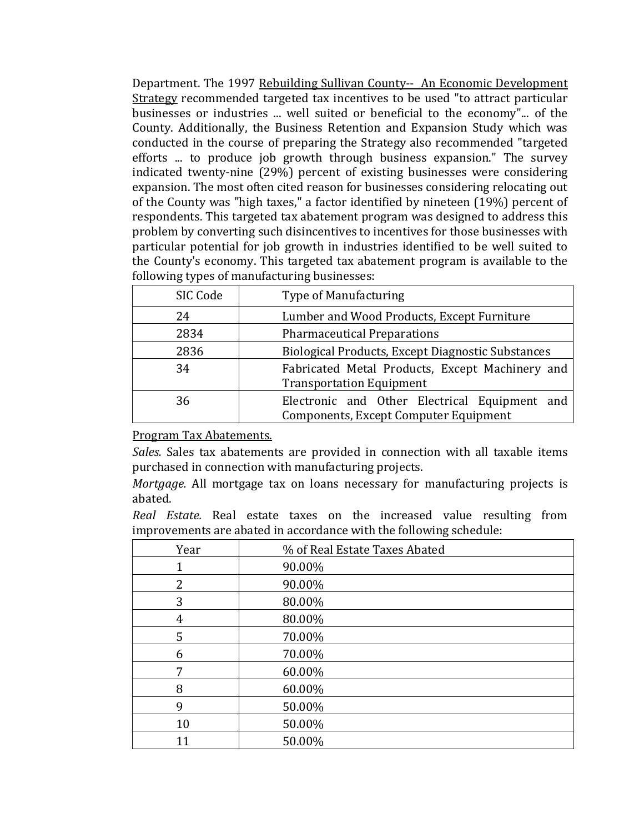Department. The 1997 Rebuilding Sullivan County-- An Economic Development Strategy recommended targeted tax incentives to be used "to attract particular businesses or industries ... well suited or beneficial to the economy"... of the County. Additionally, the Business Retention and Expansion Study which was conducted in the course of preparing the Strategy also recommended "targeted efforts ... to produce job growth through business expansion." The survey indicated twenty-nine (29%) percent of existing businesses were considering expansion. The most often cited reason for businesses considering relocating out of the County was "high taxes," a factor identified by nineteen (19%) percent of respondents. This targeted tax abatement program was designed to address this problem by converting such disincentives to incentives for those businesses with particular potential for job growth in industries identified to be well suited to the County's economy. This targeted tax abatement program is available to the following types of manufacturing businesses:

| SIC Code | <b>Type of Manufacturing</b>                                                           |
|----------|----------------------------------------------------------------------------------------|
| 24       | Lumber and Wood Products, Except Furniture                                             |
| 2834     | <b>Pharmaceutical Preparations</b>                                                     |
| 2836     | Biological Products, Except Diagnostic Substances                                      |
| 34       | Fabricated Metal Products, Except Machinery and<br><b>Transportation Equipment</b>     |
| 36       | Electronic and Other Electrical Equipment and<br>Components, Except Computer Equipment |

Program Tax Abatements.

*Sales.* Sales tax abatements are provided in connection with all taxable items purchased in connection with manufacturing projects.

*Mortgage.* All mortgage tax on loans necessary for manufacturing projects is abated.

*Real Estate.* Real estate taxes on the increased value resulting from improvements are abated in accordance with the following schedule:

| Year | % of Real Estate Taxes Abated |
|------|-------------------------------|
|      | 90.00%                        |
| 2    | 90.00%                        |
| 3    | 80.00%                        |
| 4    | 80.00%                        |
| 5    | 70.00%                        |
| 6    | 70.00%                        |
| 7    | 60.00%                        |
| 8    | 60.00%                        |
| 9    | 50.00%                        |
| 10   | 50.00%                        |
| 11   | 50.00%                        |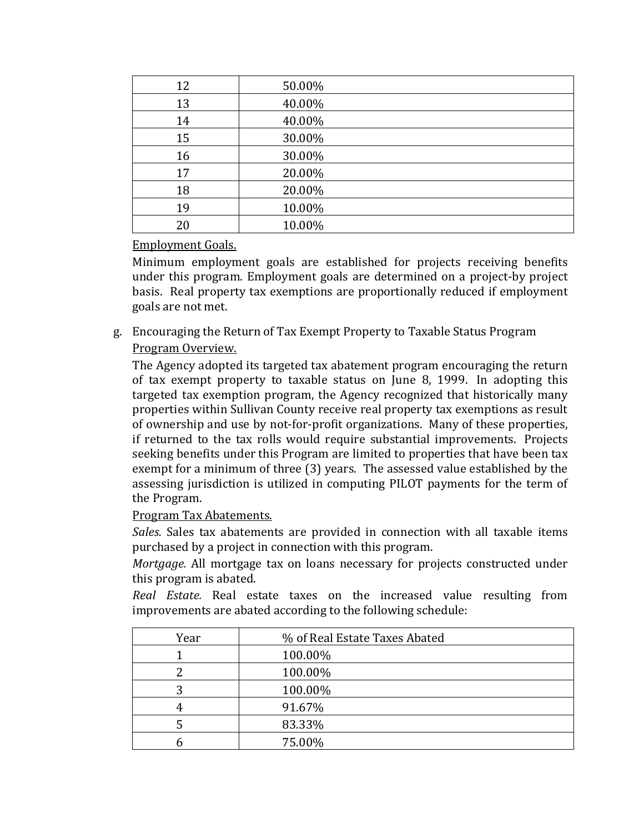| 12 | 50.00% |
|----|--------|
| 13 | 40.00% |
| 14 | 40.00% |
| 15 | 30.00% |
| 16 | 30.00% |
| 17 | 20.00% |
| 18 | 20.00% |
| 19 | 10.00% |
| 20 | 10.00% |

## Employment Goals.

Minimum employment goals are established for projects receiving benefits under this program. Employment goals are determined on a project-by project basis. Real property tax exemptions are proportionally reduced if employment goals are not met.

g. Encouraging the Return of Tax Exempt Property to Taxable Status Program

# Program Overview.

The Agency adopted its targeted tax abatement program encouraging the return of tax exempt property to taxable status on June 8, 1999. In adopting this targeted tax exemption program, the Agency recognized that historically many properties within Sullivan County receive real property tax exemptions as result of ownership and use by not-for-profit organizations. Many of these properties, if returned to the tax rolls would require substantial improvements. Projects seeking benefits under this Program are limited to properties that have been tax exempt for a minimum of three (3) years. The assessed value established by the assessing jurisdiction is utilized in computing PILOT payments for the term of the Program.

## Program Tax Abatements.

*Sales.* Sales tax abatements are provided in connection with all taxable items purchased by a project in connection with this program.

*Mortgage.* All mortgage tax on loans necessary for projects constructed under this program is abated.

*Real Estate.* Real estate taxes on the increased value resulting from improvements are abated according to the following schedule:

| Year | % of Real Estate Taxes Abated |
|------|-------------------------------|
|      | 100.00%                       |
|      | 100.00%                       |
|      | 100.00%                       |
|      | 91.67%                        |
|      | 83.33%                        |
|      | 75.00%                        |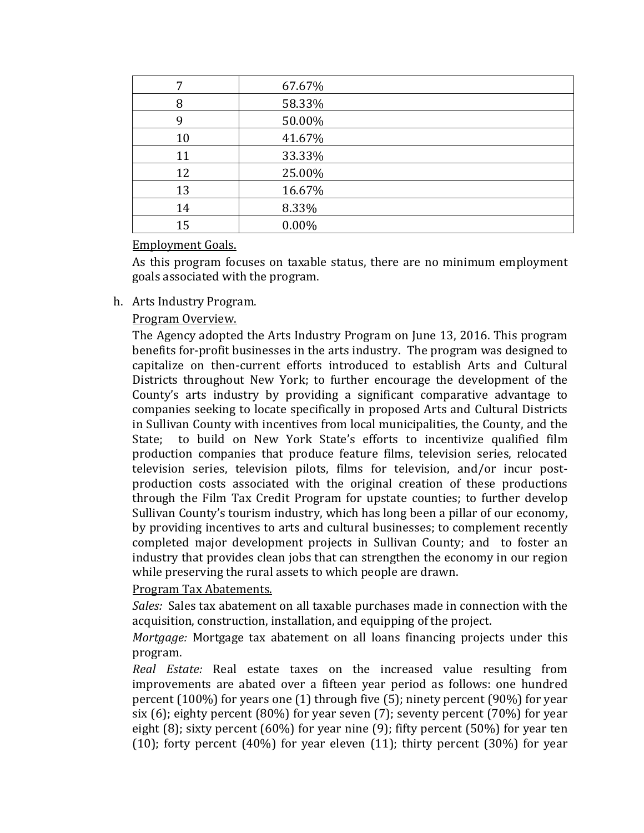| 7  | 67.67% |
|----|--------|
| 8  | 58.33% |
| 9  | 50.00% |
| 10 | 41.67% |
| 11 | 33.33% |
| 12 | 25.00% |
| 13 | 16.67% |
| 14 | 8.33%  |
| 15 | 0.00%  |

### Employment Goals.

As this program focuses on taxable status, there are no minimum employment goals associated with the program.

## h. Arts Industry Program.

Program Overview.

The Agency adopted the Arts Industry Program on June 13, 2016. This program benefits for-profit businesses in the arts industry. The program was designed to capitalize on then-current efforts introduced to establish Arts and Cultural Districts throughout New York; to further encourage the development of the County's arts industry by providing a significant comparative advantage to companies seeking to locate specifically in proposed Arts and Cultural Districts in Sullivan County with incentives from local municipalities, the County, and the to build on New York State's efforts to incentivize qualified film production companies that produce feature films, television series, relocated television series, television pilots, films for television, and/or incur postproduction costs associated with the original creation of these productions through the Film Tax Credit Program for upstate counties; to further develop Sullivan County's tourism industry, which has long been a pillar of our economy, by providing incentives to arts and cultural businesses; to complement recently completed major development projects in Sullivan County; and to foster an industry that provides clean jobs that can strengthen the economy in our region while preserving the rural assets to which people are drawn.

## Program Tax Abatements.

*Sales:* Sales tax abatement on all taxable purchases made in connection with the acquisition, construction, installation, and equipping of the project.

*Mortgage:* Mortgage tax abatement on all loans financing projects under this program.

*Real Estate:* Real estate taxes on the increased value resulting from improvements are abated over a fifteen year period as follows: one hundred percent (100%) for years one (1) through five (5); ninety percent (90%) for year six (6); eighty percent (80%) for year seven (7); seventy percent (70%) for year eight (8); sixty percent (60%) for year nine (9); fifty percent (50%) for year ten (10); forty percent (40%) for year eleven (11); thirty percent (30%) for year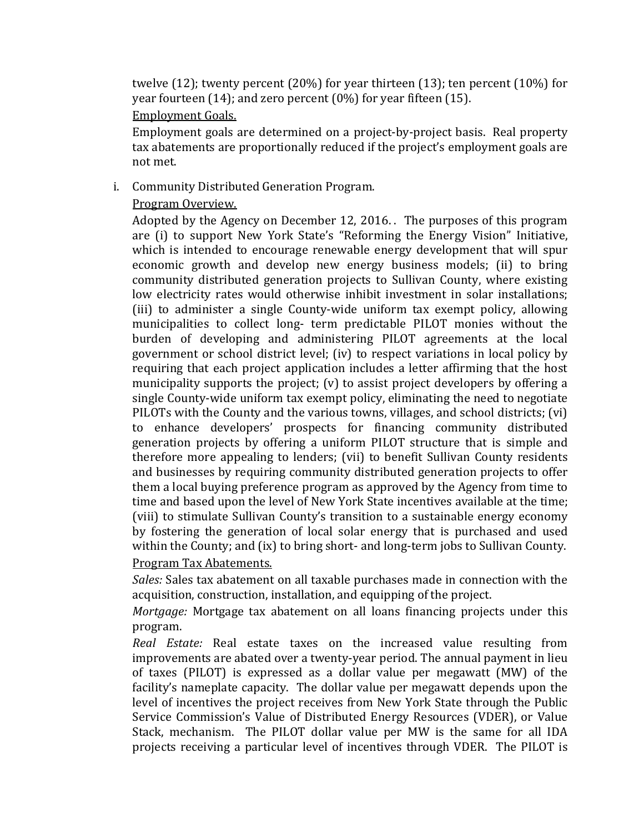twelve (12); twenty percent (20%) for year thirteen (13); ten percent (10%) for year fourteen (14); and zero percent (0%) for year fifteen (15). Employment Goals.

Employment goals are determined on a project-by-project basis. Real property tax abatements are proportionally reduced if the project's employment goals are not met.

## i. Community Distributed Generation Program.

### Program Overview.

Adopted by the Agency on December 12, 2016. . The purposes of this program are (i) to support New York State's "Reforming the Energy Vision" Initiative, which is intended to encourage renewable energy development that will spur economic growth and develop new energy business models; (ii) to bring community distributed generation projects to Sullivan County, where existing low electricity rates would otherwise inhibit investment in solar installations; (iii) to administer a single County-wide uniform tax exempt policy, allowing municipalities to collect long- term predictable PILOT monies without the burden of developing and administering PILOT agreements at the local government or school district level; (iv) to respect variations in local policy by requiring that each project application includes a letter affirming that the host municipality supports the project; (v) to assist project developers by offering a single County-wide uniform tax exempt policy, eliminating the need to negotiate PILOTs with the County and the various towns, villages, and school districts; (vi) to enhance developers' prospects for financing community distributed generation projects by offering a uniform PILOT structure that is simple and therefore more appealing to lenders; (vii) to benefit Sullivan County residents and businesses by requiring community distributed generation projects to offer them a local buying preference program as approved by the Agency from time to time and based upon the level of New York State incentives available at the time; (viii) to stimulate Sullivan County's transition to a sustainable energy economy by fostering the generation of local solar energy that is purchased and used within the County; and (ix) to bring short- and long-term jobs to Sullivan County.

## Program Tax Abatements.

*Sales:* Sales tax abatement on all taxable purchases made in connection with the acquisition, construction, installation, and equipping of the project.

*Mortgage:* Mortgage tax abatement on all loans financing projects under this program.

*Real Estate:* Real estate taxes on the increased value resulting from improvements are abated over a twenty-year period. The annual payment in lieu of taxes (PILOT) is expressed as a dollar value per megawatt (MW) of the facility's nameplate capacity. The dollar value per megawatt depends upon the level of incentives the project receives from New York State through the Public Service Commission's Value of Distributed Energy Resources (VDER), or Value Stack, mechanism. The PILOT dollar value per MW is the same for all IDA projects receiving a particular level of incentives through VDER. The PILOT is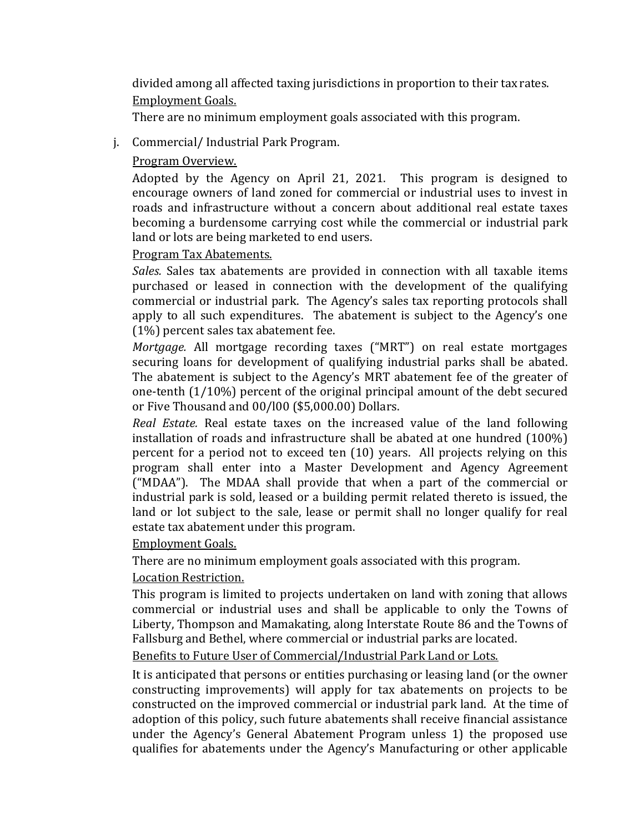divided among all affected taxing jurisdictions in proportion to their tax rates. Employment Goals.

There are no minimum employment goals associated with this program.

## j. Commercial/ Industrial Park Program.

## Program Overview.

Adopted by the Agency on April 21, 2021. This program is designed to encourage owners of land zoned for commercial or industrial uses to invest in roads and infrastructure without a concern about additional real estate taxes becoming a burdensome carrying cost while the commercial or industrial park land or lots are being marketed to end users.

## Program Tax Abatements.

*Sales.* Sales tax abatements are provided in connection with all taxable items purchased or leased in connection with the development of the qualifying commercial or industrial park. The Agency's sales tax reporting protocols shall apply to all such expenditures. The abatement is subject to the Agency's one (1%) percent sales tax abatement fee.

*Mortgage.* All mortgage recording taxes ("MRT") on real estate mortgages securing loans for development of qualifying industrial parks shall be abated. The abatement is subject to the Agency's MRT abatement fee of the greater of one-tenth (1/10%) percent of the original principal amount of the debt secured or Five Thousand and 00/l00 (\$5,000.00) Dollars.

*Real Estate.* Real estate taxes on the increased value of the land following installation of roads and infrastructure shall be abated at one hundred (100%) percent for a period not to exceed ten (10) years. All projects relying on this program shall enter into a Master Development and Agency Agreement ("MDAA"). The MDAA shall provide that when a part of the commercial or industrial park is sold, leased or a building permit related thereto is issued, the land or lot subject to the sale, lease or permit shall no longer qualify for real estate tax abatement under this program.

## Employment Goals.

There are no minimum employment goals associated with this program.

# Location Restriction.

This program is limited to projects undertaken on land with zoning that allows commercial or industrial uses and shall be applicable to only the Towns of Liberty, Thompson and Mamakating, along Interstate Route 86 and the Towns of Fallsburg and Bethel, where commercial or industrial parks are located.

## Benefits to Future User of Commercial/Industrial Park Land or Lots.

It is anticipated that persons or entities purchasing or leasing land (or the owner constructing improvements) will apply for tax abatements on projects to be constructed on the improved commercial or industrial park land. At the time of adoption of this policy, such future abatements shall receive financial assistance under the Agency's General Abatement Program unless 1) the proposed use qualifies for abatements under the Agency's Manufacturing or other applicable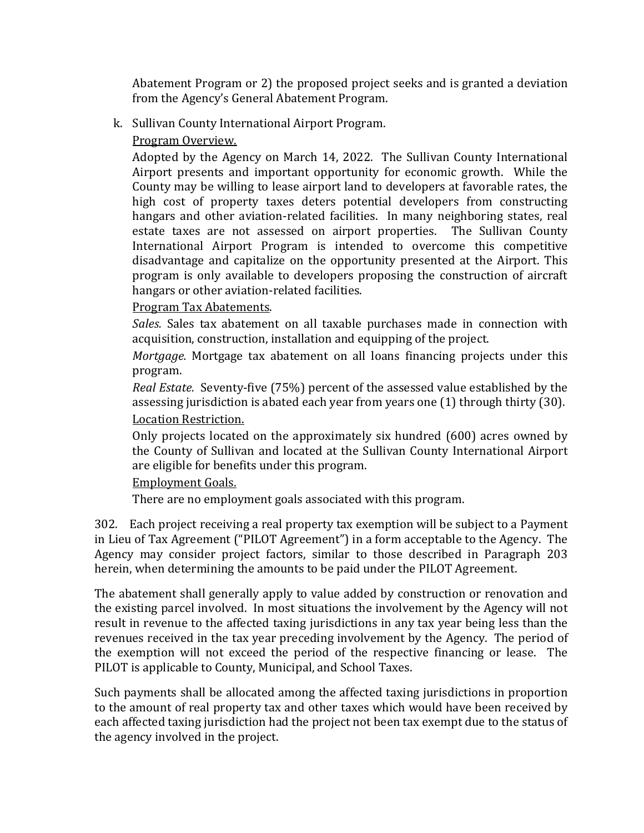Abatement Program or 2) the proposed project seeks and is granted a deviation from the Agency's General Abatement Program.

- k. Sullivan County International Airport Program.
	- Program Overview.

Adopted by the Agency on March 14, 2022. The Sullivan County International Airport presents and important opportunity for economic growth. While the County may be willing to lease airport land to developers at favorable rates, the high cost of property taxes deters potential developers from constructing hangars and other aviation-related facilities. In many neighboring states, real estate taxes are not assessed on airport properties. The Sullivan County International Airport Program is intended to overcome this competitive disadvantage and capitalize on the opportunity presented at the Airport. This program is only available to developers proposing the construction of aircraft hangars or other aviation-related facilities.

Program Tax Abatements.

*Sales.* Sales tax abatement on all taxable purchases made in connection with acquisition, construction, installation and equipping of the project.

*Mortgage.* Mortgage tax abatement on all loans financing projects under this program.

*Real Estate.* Seventy-five (75%) percent of the assessed value established by the assessing jurisdiction is abated each year from years one (1) through thirty (30). Location Restriction.

Only projects located on the approximately six hundred (600) acres owned by the County of Sullivan and located at the Sullivan County International Airport are eligible for benefits under this program.

## Employment Goals.

There are no employment goals associated with this program.

302. Each project receiving a real property tax exemption will be subject to a Payment in Lieu of Tax Agreement ("PILOT Agreement") in a form acceptable to the Agency. The Agency may consider project factors, similar to those described in Paragraph 203 herein, when determining the amounts to be paid under the PILOT Agreement.

The abatement shall generally apply to value added by construction or renovation and the existing parcel involved. In most situations the involvement by the Agency will not result in revenue to the affected taxing jurisdictions in any tax year being less than the revenues received in the tax year preceding involvement by the Agency. The period of the exemption will not exceed the period of the respective financing or lease. The PILOT is applicable to County, Municipal, and School Taxes.

Such payments shall be allocated among the affected taxing jurisdictions in proportion to the amount of real property tax and other taxes which would have been received by each affected taxing jurisdiction had the project not been tax exempt due to the status of the agency involved in the project.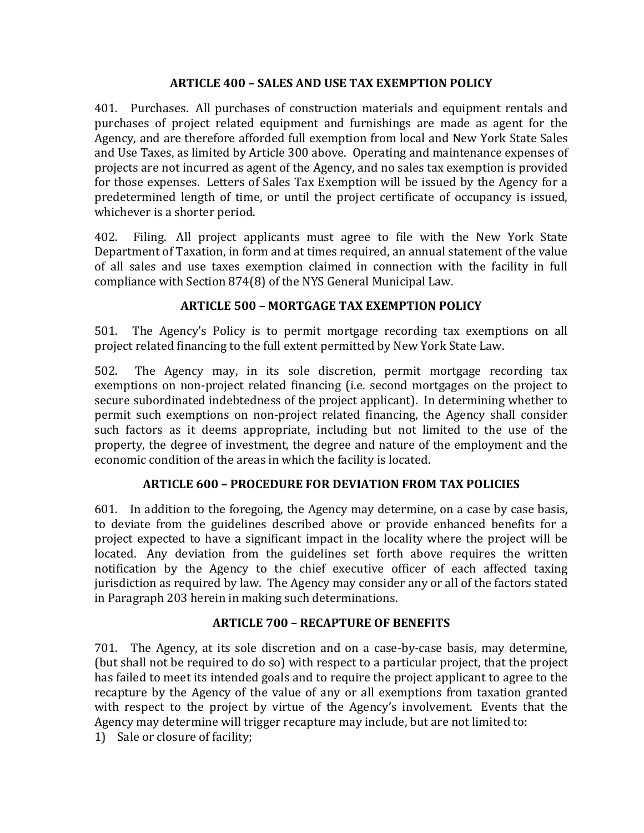## **ARTICLE 400 – SALES AND USE TAX EXEMPTION POLICY**

401. Purchases. All purchases of construction materials and equipment rentals and purchases of project related equipment and furnishings are made as agent for the Agency, and are therefore afforded full exemption from local and New York State Sales and Use Taxes, as limited by Article 300 above. Operating and maintenance expenses of projects are not incurred as agent of the Agency, and no sales tax exemption is provided for those expenses. Letters of Sales Tax Exemption will be issued by the Agency for a predetermined length of time, or until the project certificate of occupancy is issued, whichever is a shorter period.

402. Filing. All project applicants must agree to file with the New York State Department of Taxation, in form and at times required, an annual statement of the value of all sales and use taxes exemption claimed in connection with the facility in full compliance with Section 874(8) of the NYS General Municipal Law.

## **ARTICLE 500 – MORTGAGE TAX EXEMPTION POLICY**

501. The Agency's Policy is to permit mortgage recording tax exemptions on all project related financing to the full extent permitted by New York State Law.

502. The Agency may, in its sole discretion, permit mortgage recording tax exemptions on non-project related financing (i.e. second mortgages on the project to secure subordinated indebtedness of the project applicant). In determining whether to permit such exemptions on non-project related financing, the Agency shall consider such factors as it deems appropriate, including but not limited to the use of the property, the degree of investment, the degree and nature of the employment and the economic condition of the areas in which the facility is located.

# **ARTICLE 600 – PROCEDURE FOR DEVIATION FROM TAX POLICIES**

601. In addition to the foregoing, the Agency may determine, on a case by case basis, to deviate from the guidelines described above or provide enhanced benefits for a project expected to have a significant impact in the locality where the project will be located. Any deviation from the guidelines set forth above requires the written notification by the Agency to the chief executive officer of each affected taxing jurisdiction as required by law. The Agency may consider any or all of the factors stated in Paragraph 203 herein in making such determinations.

## **ARTICLE 700 – RECAPTURE OF BENEFITS**

701. The Agency, at its sole discretion and on a case-by-case basis, may determine, (but shall not be required to do so) with respect to a particular project, that the project has failed to meet its intended goals and to require the project applicant to agree to the recapture by the Agency of the value of any or all exemptions from taxation granted with respect to the project by virtue of the Agency's involvement. Events that the Agency may determine will trigger recapture may include, but are not limited to:

1) Sale or closure of facility;